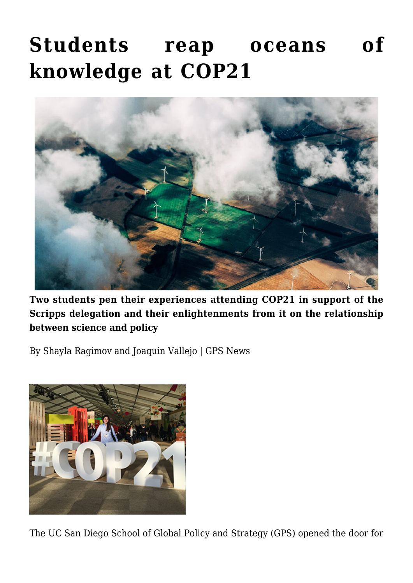## **[Students reap oceans of](https://gpsnews.ucsd.edu/students-reap-oceans-of-knowledge-at-cop21/) [knowledge at COP21](https://gpsnews.ucsd.edu/students-reap-oceans-of-knowledge-at-cop21/)**



**Two students pen their experiences attending COP21 in support of the Scripps delegation and their enlightenments from it on the relationship between science and policy**

By Shayla Ragimov and Joaquin Vallejo | GPS News



The UC San Diego School of Global Policy and Strategy (GPS) opened the door for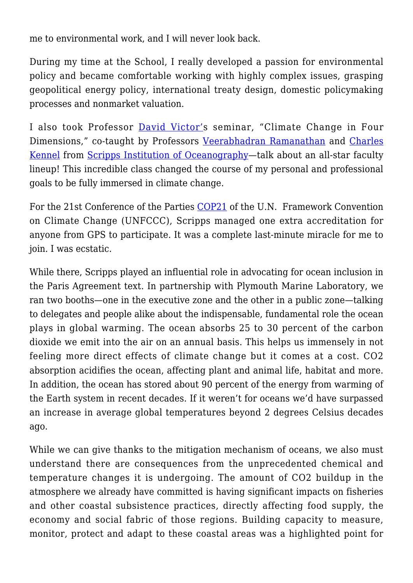me to environmental work, and I will never look back.

During my time at the School, I really developed a passion for environmental policy and became comfortable working with highly complex issues, grasping geopolitical energy policy, international treaty design, domestic policymaking processes and nonmarket valuation.

I also took Professor [David Victor'](https://gps.ucsd.edu/faculty-directory/david-victor.html)s seminar, "Climate Change in Four Dimensions," co-taught by Professors [Veerabhadran Ramanathan](http://www-ramanathan.ucsd.edu/) and [Charles](https://scripps.ucsd.edu/profiles/ckennel) [Kennel](https://scripps.ucsd.edu/profiles/ckennel) from [Scripps Institution of Oceanography](https://scripps.ucsd.edu/)—talk about an all-star faculty lineup! This incredible class changed the course of my personal and professional goals to be fully immersed in climate change.

For the 21st Conference of the Parties [COP21](https://unfccc.int/meetings/paris_nov_2015/session/9057.php) of the U.N. Framework Convention on Climate Change (UNFCCC), Scripps managed one extra accreditation for anyone from GPS to participate. It was a complete last-minute miracle for me to join. I was ecstatic.

While there, Scripps played an influential role in advocating for ocean inclusion in the Paris Agreement text. In partnership with Plymouth Marine Laboratory, we ran two booths—one in the executive zone and the other in a public zone—talking to delegates and people alike about the indispensable, fundamental role the ocean plays in global warming. The ocean absorbs 25 to 30 percent of the carbon dioxide we emit into the air on an annual basis. This helps us immensely in not feeling more direct effects of climate change but it comes at a cost. CO2 absorption acidifies the ocean, affecting plant and animal life, habitat and more. In addition, the ocean has stored about 90 percent of the energy from warming of the Earth system in recent decades. If it weren't for oceans we'd have surpassed an increase in average global temperatures beyond 2 degrees Celsius decades ago.

While we can give thanks to the mitigation mechanism of oceans, we also must understand there are consequences from the unprecedented chemical and temperature changes it is undergoing. The amount of CO2 buildup in the atmosphere we already have committed is having significant impacts on fisheries and other coastal subsistence practices, directly affecting food supply, the economy and social fabric of those regions. Building capacity to measure, monitor, protect and adapt to these coastal areas was a highlighted point for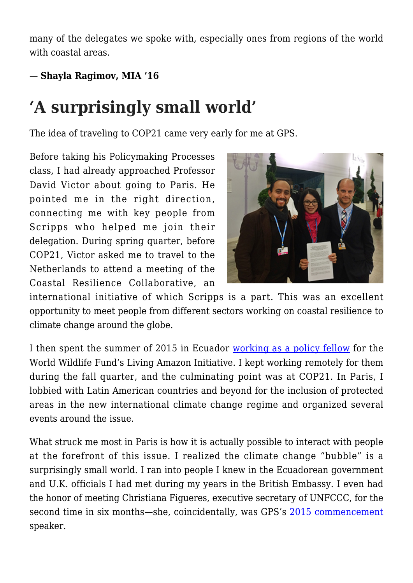many of the delegates we spoke with, especially ones from regions of the world with coastal areas.

## — **Shayla Ragimov, MIA '16**

## **'A surprisingly small world'**

The idea of traveling to COP21 came very early for me at GPS.

Before taking his Policymaking Processes class, I had already approached Professor David Victor about going to Paris. He pointed me in the right direction, connecting me with key people from Scripps who helped me join their delegation. During spring quarter, before COP21, Victor asked me to travel to the Netherlands to attend a meeting of the Coastal Resilience Collaborative, an



international initiative of which Scripps is a part. This was an excellent opportunity to meet people from different sectors working on coastal resilience to climate change around the globe.

I then spent the summer of 2015 in Ecuador [working as a policy fellow](https://gpsnews.ucsd.edu/mapping-out-gps-students-summer-whereabouts%20.html) for the World Wildlife Fund's Living Amazon Initiative. I kept working remotely for them during the fall quarter, and the culminating point was at COP21. In Paris, I lobbied with Latin American countries and beyond for the inclusion of protected areas in the new international climate change regime and organized several events around the issue.

What struck me most in Paris is how it is actually possible to interact with people at the forefront of this issue. I realized the climate change "bubble" is a surprisingly small world. I ran into people I knew in the Ecuadorean government and U.K. officials I had met during my years in the British Embassy. I even had the honor of meeting Christiana Figueres, executive secretary of UNFCCC, for the second time in six months—she, coincidentally, was GPS's [2015 commencement](https://gpsnews.ucsd.edu/story-commencement.html) speaker.